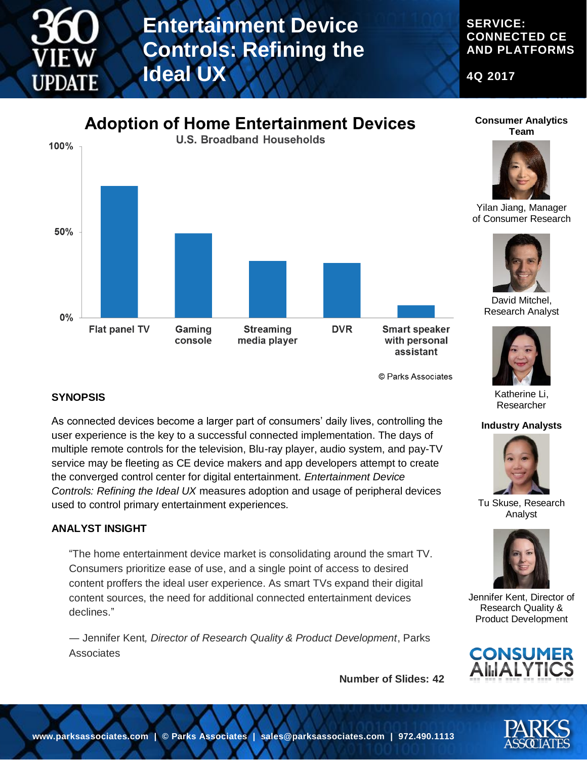

## **Entertainment Device Controls: Refining the Ideal UX**

#### **SERVICE: CONNECTED CE AND PLATFORMS**

**4Q 2017**



© Parks Associates

#### **SYNOPSIS**

As connected devices become a larger part of consumers' daily lives, controlling the user experience is the key to a successful connected implementation. The days of multiple remote controls for the television, Blu-ray player, audio system, and pay-TV service may be fleeting as CE device makers and app developers attempt to create the converged control center for digital entertainment. *Entertainment Device Controls: Refining the Ideal UX* measures adoption and usage of peripheral devices used to control primary entertainment experiences.

#### **ANALYST INSIGHT**

"The home entertainment device market is consolidating around the smart TV. Consumers prioritize ease of use, and a single point of access to desired content proffers the ideal user experience. As smart TVs expand their digital content sources, the need for additional connected entertainment devices declines."

― Jennifer Kent*, Director of Research Quality & Product Development*, Parks **Associates** 

**Number of Slides: 42**

#### **Consumer Analytics Team**



Yilan Jiang, Manager of Consumer Research



David Mitchel, Research Analyst



Katherine Li, Researcher

#### **Industry Analysts**



Tu Skuse, Research Analyst



Jennifer Kent, Director of Research Quality & Product Development



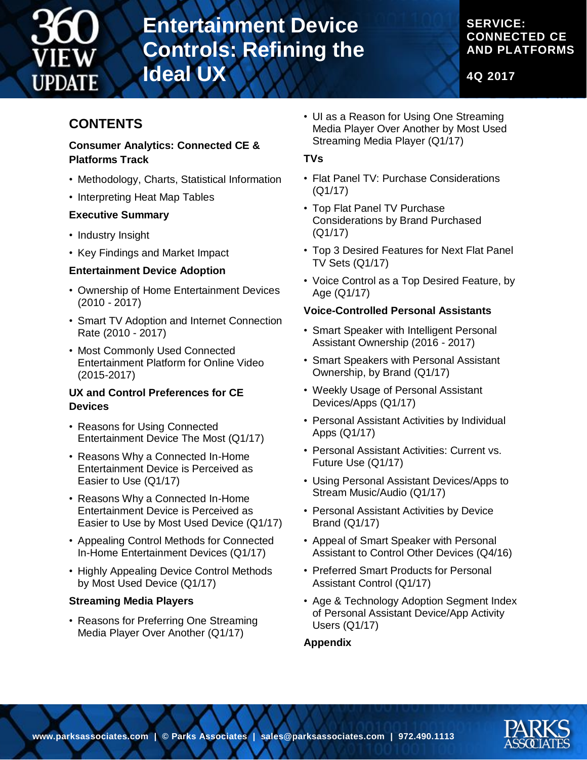

# **Entertainment Device Controls: Refining the Ideal UX**

### **SERVICE: CONNECTED CE AND PLATFORMS**

**4Q 2017**

## **CONTENTS**

#### **Consumer Analytics: Connected CE & Platforms Track**

- Methodology, Charts, Statistical Information
- Interpreting Heat Map Tables

#### **Executive Summary**

- Industry Insight
- Key Findings and Market Impact

#### **Entertainment Device Adoption**

- Ownership of Home Entertainment Devices (2010 - 2017)
- Smart TV Adoption and Internet Connection Rate (2010 - 2017)
- Most Commonly Used Connected Entertainment Platform for Online Video (2015-2017)

#### **UX and Control Preferences for CE Devices**

- Reasons for Using Connected Entertainment Device The Most (Q1/17)
- Reasons Why a Connected In-Home Entertainment Device is Perceived as Easier to Use (Q1/17)
- Reasons Why a Connected In-Home Entertainment Device is Perceived as Easier to Use by Most Used Device (Q1/17)
- Appealing Control Methods for Connected In-Home Entertainment Devices (Q1/17)
- Highly Appealing Device Control Methods by Most Used Device (Q1/17)

### **Streaming Media Players**

• Reasons for Preferring One Streaming Media Player Over Another (Q1/17)

• UI as a Reason for Using One Streaming Media Player Over Another by Most Used Streaming Media Player (Q1/17)

#### **TVs**

- Flat Panel TV: Purchase Considerations (Q1/17)
- Top Flat Panel TV Purchase Considerations by Brand Purchased (Q1/17)
- Top 3 Desired Features for Next Flat Panel TV Sets (Q1/17)
- Voice Control as a Top Desired Feature, by Age (Q1/17)

#### **Voice-Controlled Personal Assistants**

- Smart Speaker with Intelligent Personal Assistant Ownership (2016 - 2017)
- Smart Speakers with Personal Assistant Ownership, by Brand (Q1/17)
- Weekly Usage of Personal Assistant Devices/Apps (Q1/17)
- Personal Assistant Activities by Individual Apps (Q1/17)
- Personal Assistant Activities: Current vs. Future Use (Q1/17)
- Using Personal Assistant Devices/Apps to Stream Music/Audio (Q1/17)
- Personal Assistant Activities by Device Brand (Q1/17)
- Appeal of Smart Speaker with Personal Assistant to Control Other Devices (Q4/16)
- Preferred Smart Products for Personal Assistant Control (Q1/17)
- Age & Technology Adoption Segment Index of Personal Assistant Device/App Activity Users (Q1/17)

#### **Appendix**